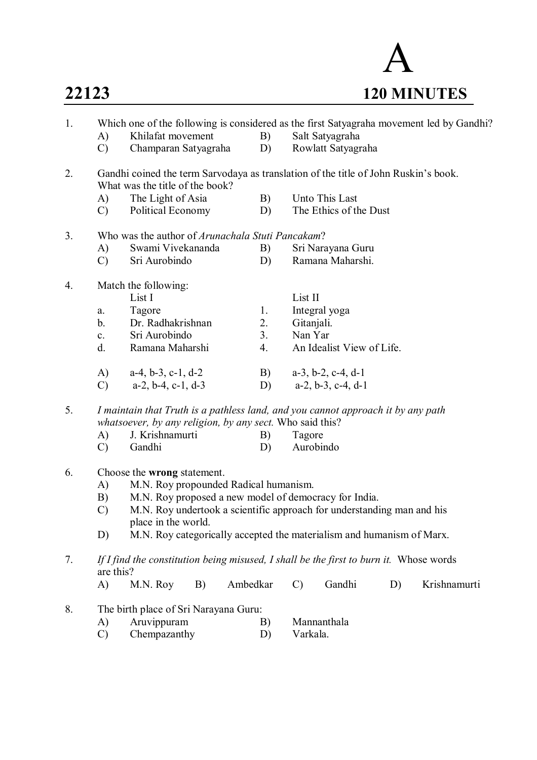

| 1. | A)<br>$\mathcal{C}$                                                              | Which one of the following is considered as the first Satyagraha movement led by Gandhi?<br>Khilafat movement<br>Champaran Satyagraha |          | B)<br>D) |               | Salt Satyagraha<br>Rowlatt Satyagraha |    |              |  |  |  |  |
|----|----------------------------------------------------------------------------------|---------------------------------------------------------------------------------------------------------------------------------------|----------|----------|---------------|---------------------------------------|----|--------------|--|--|--|--|
| 2. |                                                                                  | Gandhi coined the term Sarvodaya as translation of the title of John Ruskin's book.<br>What was the title of the book?                |          |          |               |                                       |    |              |  |  |  |  |
|    | A)                                                                               | The Light of Asia                                                                                                                     |          | B)       |               | Unto This Last                        |    |              |  |  |  |  |
|    | $\mathcal{C}$                                                                    | The Ethics of the Dust<br>Political Economy<br>D)                                                                                     |          |          |               |                                       |    |              |  |  |  |  |
| 3. |                                                                                  | Who was the author of <i>Arunachala Stuti Pancakam</i> ?                                                                              |          |          |               |                                       |    |              |  |  |  |  |
|    | A)                                                                               | Swami Vivekananda                                                                                                                     |          | B)       |               | Sri Narayana Guru                     |    |              |  |  |  |  |
|    | $\mathcal{C}$                                                                    | Sri Aurobindo                                                                                                                         |          | D)       |               | Ramana Maharshi.                      |    |              |  |  |  |  |
| 4. | Match the following:                                                             |                                                                                                                                       |          |          |               |                                       |    |              |  |  |  |  |
|    |                                                                                  | List I                                                                                                                                |          |          | List II       |                                       |    |              |  |  |  |  |
|    | a.                                                                               | Tagore                                                                                                                                |          | 1.       |               | Integral yoga                         |    |              |  |  |  |  |
|    | $\mathbf{b}$ .                                                                   | Dr. Radhakrishnan                                                                                                                     |          | 2.       | Gitanjali.    |                                       |    |              |  |  |  |  |
|    | $c_{\cdot}$                                                                      | Sri Aurobindo                                                                                                                         |          | 3.       | Nan Yar       |                                       |    |              |  |  |  |  |
|    | $d_{\cdot}$                                                                      | Ramana Maharshi                                                                                                                       |          | 4.       |               | An Idealist View of Life.             |    |              |  |  |  |  |
|    | A)                                                                               | $a-4, b-3, c-1, d-2$                                                                                                                  |          | B)       |               | $a-3$ , $b-2$ , $c-4$ , $d-1$         |    |              |  |  |  |  |
|    | $\mathcal{C}$                                                                    | $a-2$ , $b-4$ , $c-1$ , $d-3$                                                                                                         |          | D)       |               | $a-2$ , $b-3$ , $c-4$ , $d-1$         |    |              |  |  |  |  |
| 5. | I maintain that Truth is a pathless land, and you cannot approach it by any path |                                                                                                                                       |          |          |               |                                       |    |              |  |  |  |  |
|    |                                                                                  | whatsoever, by any religion, by any sect. Who said this?                                                                              |          |          |               |                                       |    |              |  |  |  |  |
|    | A)                                                                               | J. Krishnamurti                                                                                                                       |          | B)       | Tagore        |                                       |    |              |  |  |  |  |
|    | $\mathcal{C}$                                                                    | Gandhi                                                                                                                                |          | D)       |               | Aurobindo                             |    |              |  |  |  |  |
| 6. |                                                                                  | Choose the wrong statement.                                                                                                           |          |          |               |                                       |    |              |  |  |  |  |
|    | A)                                                                               | M.N. Roy propounded Radical humanism.                                                                                                 |          |          |               |                                       |    |              |  |  |  |  |
|    | B)                                                                               | M.N. Roy proposed a new model of democracy for India.                                                                                 |          |          |               |                                       |    |              |  |  |  |  |
|    |                                                                                  | $\mathcal{C}$<br>M.N. Roy undertook a scientific approach for understanding man and his<br>place in the world.                        |          |          |               |                                       |    |              |  |  |  |  |
|    | D)                                                                               | M.N. Roy categorically accepted the materialism and humanism of Marx.                                                                 |          |          |               |                                       |    |              |  |  |  |  |
| 7. | are this?                                                                        | If I find the constitution being misused, I shall be the first to burn it. Whose words                                                |          |          |               |                                       |    |              |  |  |  |  |
|    | A)                                                                               | M.N. Roy<br>B)                                                                                                                        | Ambedkar |          | $\mathcal{C}$ | Gandhi                                | D) | Krishnamurti |  |  |  |  |
| 8. |                                                                                  | The birth place of Sri Narayana Guru:                                                                                                 |          |          |               |                                       |    |              |  |  |  |  |
|    | A)                                                                               | Aruvippuram                                                                                                                           |          | B)       |               | Mannanthala                           |    |              |  |  |  |  |
|    | $\mathcal{C}$                                                                    | Chempazanthy                                                                                                                          |          | D)       | Varkala.      |                                       |    |              |  |  |  |  |
|    |                                                                                  |                                                                                                                                       |          |          |               |                                       |    |              |  |  |  |  |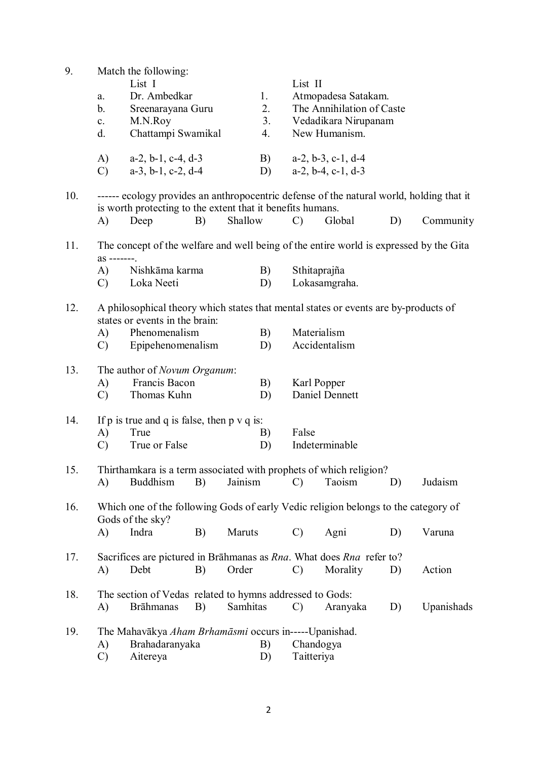| 9.  |                                                                                          | Match the following:                                                                                   |    |          |    |                |                               |    |            |  |  |  |
|-----|------------------------------------------------------------------------------------------|--------------------------------------------------------------------------------------------------------|----|----------|----|----------------|-------------------------------|----|------------|--|--|--|
|     |                                                                                          | List I                                                                                                 |    |          |    | List II        |                               |    |            |  |  |  |
|     | a.                                                                                       | Dr. Ambedkar                                                                                           |    |          | 1. |                | Atmopadesa Satakam.           |    |            |  |  |  |
|     | b.                                                                                       | Sreenarayana Guru                                                                                      |    |          | 2. |                | The Annihilation of Caste     |    |            |  |  |  |
|     |                                                                                          | M.N.Roy                                                                                                |    |          |    |                |                               |    |            |  |  |  |
|     | $\mathbf{c}$ .                                                                           |                                                                                                        |    |          | 3. |                | Vedadikara Nirupanam          |    |            |  |  |  |
|     | d.                                                                                       | Chattampi Swamikal                                                                                     |    |          | 4. |                | New Humanism.                 |    |            |  |  |  |
|     | A)                                                                                       | $a-2$ , $b-1$ , $c-4$ , $d-3$                                                                          |    |          | B) |                | $a-2$ , $b-3$ , $c-1$ , $d-4$ |    |            |  |  |  |
|     | $\mathcal{C}$                                                                            | $a-3$ , $b-1$ , $c-2$ , $d-4$                                                                          |    |          | D) |                | $a-2$ , $b-4$ , $c-1$ , $d-3$ |    |            |  |  |  |
|     | ------ ecology provides an anthropocentric defense of the natural world, holding that it |                                                                                                        |    |          |    |                |                               |    |            |  |  |  |
| 10. |                                                                                          |                                                                                                        |    |          |    |                |                               |    |            |  |  |  |
|     |                                                                                          | is worth protecting to the extent that it benefits humans.                                             |    |          |    |                |                               |    |            |  |  |  |
|     | A)                                                                                       | Deep                                                                                                   | B) | Shallow  |    | $\mathcal{C}$  | Global                        | D) | Community  |  |  |  |
| 11. | The concept of the welfare and well being of the entire world is expressed by the Gita   |                                                                                                        |    |          |    |                |                               |    |            |  |  |  |
|     | as -------.                                                                              |                                                                                                        |    |          |    |                |                               |    |            |  |  |  |
|     | A)                                                                                       | Nishkāma karma                                                                                         |    |          | B) |                | Sthitaprajña                  |    |            |  |  |  |
|     | C)                                                                                       | Loka Neeti                                                                                             |    |          | D) |                | Lokasamgraha.                 |    |            |  |  |  |
| 12. |                                                                                          | A philosophical theory which states that mental states or events are by-products of                    |    |          |    |                |                               |    |            |  |  |  |
|     |                                                                                          | states or events in the brain:                                                                         |    |          |    |                |                               |    |            |  |  |  |
|     |                                                                                          | Phenomenalism                                                                                          |    |          | B) |                | Materialism                   |    |            |  |  |  |
|     | A)                                                                                       |                                                                                                        |    |          |    |                |                               |    |            |  |  |  |
|     | C)                                                                                       | Epipehenomenalism                                                                                      |    |          | D) |                | Accidentalism                 |    |            |  |  |  |
| 13. |                                                                                          | The author of <i>Novum Organum</i> :                                                                   |    |          |    |                |                               |    |            |  |  |  |
|     | A)                                                                                       | Francis Bacon                                                                                          |    |          |    |                | Karl Popper                   |    |            |  |  |  |
|     | $\mathcal{C}$                                                                            | Thomas Kuhn                                                                                            |    |          | D) |                | Daniel Dennett                |    |            |  |  |  |
|     |                                                                                          |                                                                                                        |    |          |    |                |                               |    |            |  |  |  |
| 14. | If $p$ is true and $q$ is false, then $p \vee q$ is:                                     |                                                                                                        |    |          |    |                |                               |    |            |  |  |  |
|     | A)                                                                                       | True                                                                                                   |    |          | B) | False          |                               |    |            |  |  |  |
|     | $\mathcal{C}$                                                                            | True or False                                                                                          |    |          | D) | Indeterminable |                               |    |            |  |  |  |
| 15. |                                                                                          | Thirthamkara is a term associated with prophets of which religion?                                     |    |          |    |                |                               |    |            |  |  |  |
|     | A)                                                                                       | <b>Buddhism</b>                                                                                        | B) | Jainism  |    | $\mathcal{C}$  | Taoism                        | D) | Judaism    |  |  |  |
|     |                                                                                          |                                                                                                        |    |          |    |                |                               |    |            |  |  |  |
| 16. |                                                                                          | Which one of the following Gods of early Vedic religion belongs to the category of<br>Gods of the sky? |    |          |    |                |                               |    |            |  |  |  |
|     | A)                                                                                       | Indra                                                                                                  | B) | Maruts   |    | $\mathcal{C}$  | Agni                          | D) | Varuna     |  |  |  |
|     |                                                                                          |                                                                                                        |    |          |    |                |                               |    |            |  |  |  |
| 17. |                                                                                          | Sacrifices are pictured in Brāhmanas as Rna. What does Rna refer to?                                   |    |          |    |                |                               |    |            |  |  |  |
|     | A)                                                                                       | Debt                                                                                                   | B) | Order    |    | $\mathcal{C}$  | Morality                      | D) | Action     |  |  |  |
|     |                                                                                          |                                                                                                        |    |          |    |                |                               |    |            |  |  |  |
| 18. |                                                                                          | The section of Vedas related to hymns addressed to Gods:                                               |    |          |    |                |                               |    |            |  |  |  |
|     | A)                                                                                       | <b>Brāhmanas</b>                                                                                       | B) | Samhitas |    | $\mathcal{C}$  | Aranyaka                      | D) | Upanishads |  |  |  |
|     |                                                                                          |                                                                                                        |    |          |    |                |                               |    |            |  |  |  |
| 19. | The Mahavākya Aham Brhamāsmi occurs in-----Upanishad.<br>B)                              |                                                                                                        |    |          |    |                |                               |    |            |  |  |  |
|     | A)                                                                                       | Brahadaranyaka                                                                                         |    |          |    | Chandogya      |                               |    |            |  |  |  |
|     | $\mathcal{C}$                                                                            | Aitereya                                                                                               |    |          | D) | Taitteriya     |                               |    |            |  |  |  |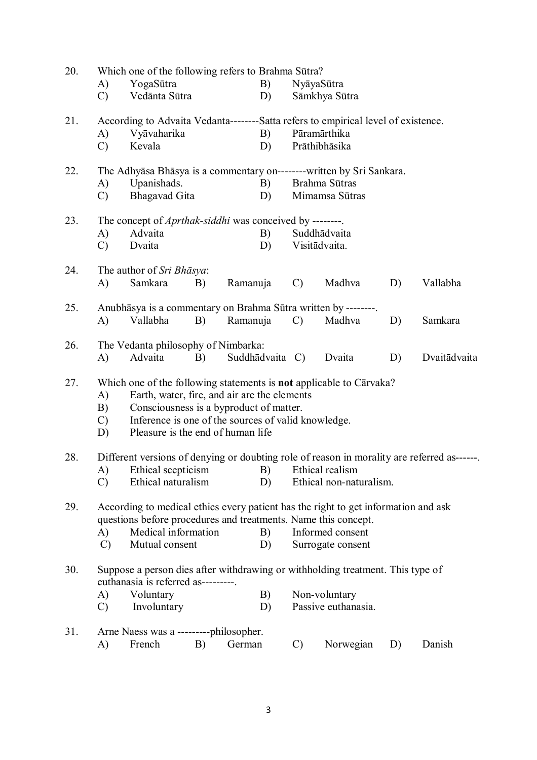| 20. | Which one of the following refers to Brahma Sūtra?                                                                                                   |                                        |    |                 |               |                                                                                   |    |              |  |  |  |
|-----|------------------------------------------------------------------------------------------------------------------------------------------------------|----------------------------------------|----|-----------------|---------------|-----------------------------------------------------------------------------------|----|--------------|--|--|--|
|     | A)                                                                                                                                                   | YogaSūtra                              |    | B)              |               | NyāyaSūtra                                                                        |    |              |  |  |  |
|     | $\mathcal{C}$                                                                                                                                        | Vedānta Sūtra                          |    | D)              |               | Sāmkhya Sūtra                                                                     |    |              |  |  |  |
| 21. |                                                                                                                                                      |                                        |    |                 |               | According to Advaita Vedanta--------Satta refers to empirical level of existence. |    |              |  |  |  |
|     | A)                                                                                                                                                   | Vyāvaharika                            |    | B)              |               | Pāramārthika                                                                      |    |              |  |  |  |
|     | $\mathcal{C}$                                                                                                                                        | Kevala                                 |    | D)              |               | Prāthibhāsika                                                                     |    |              |  |  |  |
| 22. |                                                                                                                                                      |                                        |    |                 |               |                                                                                   |    |              |  |  |  |
|     | A)                                                                                                                                                   | Upanishads.                            |    | B)              |               | Brahma Sūtras                                                                     |    |              |  |  |  |
|     | <b>Bhagavad Gita</b><br>D)<br>$\mathcal{C}$<br>Mimamsa Sūtras                                                                                        |                                        |    |                 |               |                                                                                   |    |              |  |  |  |
| 23. | The concept of <i>Aprthak-siddhi</i> was conceived by --------.                                                                                      |                                        |    |                 |               |                                                                                   |    |              |  |  |  |
|     | A)                                                                                                                                                   | Advaita                                |    | B)              | Suddhādvaita  |                                                                                   |    |              |  |  |  |
|     | $\mathcal{C}$                                                                                                                                        | Dvaita                                 |    | D)              |               | Visitādvaita.                                                                     |    |              |  |  |  |
| 24. |                                                                                                                                                      | The author of Sri Bhāsya:              |    |                 |               |                                                                                   |    |              |  |  |  |
|     | A)                                                                                                                                                   | Samkara                                | B) | Ramanuja        | $\mathcal{C}$ | Madhva                                                                            | D) | Vallabha     |  |  |  |
| 25. | Anubhāsya is a commentary on Brahma Sūtra written by --------.                                                                                       |                                        |    |                 |               |                                                                                   |    |              |  |  |  |
|     | A)                                                                                                                                                   | Vallabha                               | B) | Ramanuja        | $\mathcal{C}$ | Madhva                                                                            | D) | Samkara      |  |  |  |
| 26. |                                                                                                                                                      | The Vedanta philosophy of Nimbarka:    |    |                 |               |                                                                                   |    |              |  |  |  |
|     | A)                                                                                                                                                   | Advaita                                | B) | Suddhādvaita C) |               | Dvaita                                                                            | D) | Dvaitādvaita |  |  |  |
| 27. | Which one of the following statements is not applicable to Cārvaka?                                                                                  |                                        |    |                 |               |                                                                                   |    |              |  |  |  |
|     | Earth, water, fire, and air are the elements<br>A)                                                                                                   |                                        |    |                 |               |                                                                                   |    |              |  |  |  |
|     | Consciousness is a byproduct of matter.<br>B)                                                                                                        |                                        |    |                 |               |                                                                                   |    |              |  |  |  |
|     | Inference is one of the sources of valid knowledge.<br>$\mathcal{C}$                                                                                 |                                        |    |                 |               |                                                                                   |    |              |  |  |  |
|     | Pleasure is the end of human life<br>D)                                                                                                              |                                        |    |                 |               |                                                                                   |    |              |  |  |  |
| 28. | Different versions of denying or doubting role of reason in morality are referred as------                                                           |                                        |    |                 |               |                                                                                   |    |              |  |  |  |
|     | A)                                                                                                                                                   | Ethical scepticism                     |    | B)              |               | Ethical realism                                                                   |    |              |  |  |  |
|     | $\mathcal{C}$                                                                                                                                        | Ethical naturalism                     |    | D)              |               | Ethical non-naturalism.                                                           |    |              |  |  |  |
|     |                                                                                                                                                      |                                        |    |                 |               |                                                                                   |    |              |  |  |  |
| 29. | According to medical ethics every patient has the right to get information and ask<br>questions before procedures and treatments. Name this concept. |                                        |    |                 |               |                                                                                   |    |              |  |  |  |
|     |                                                                                                                                                      |                                        |    |                 |               |                                                                                   |    |              |  |  |  |
|     | A)                                                                                                                                                   | Medical information                    |    | B)              |               | Informed consent                                                                  |    |              |  |  |  |
|     | $\mathcal{C}$                                                                                                                                        | Mutual consent                         |    | D)              |               | Surrogate consent                                                                 |    |              |  |  |  |
| 30. |                                                                                                                                                      | euthanasia is referred as---------     |    |                 |               | Suppose a person dies after withdrawing or withholding treatment. This type of    |    |              |  |  |  |
|     | A)                                                                                                                                                   | Voluntary                              |    | B)              |               | Non-voluntary                                                                     |    |              |  |  |  |
|     | Involuntary<br>D)<br>$\mathcal{C}$                                                                                                                   |                                        |    |                 |               | Passive euthanasia.                                                               |    |              |  |  |  |
| 31. |                                                                                                                                                      | Arne Naess was a ---------philosopher. |    |                 |               |                                                                                   |    |              |  |  |  |
|     | A)                                                                                                                                                   | French                                 | B) | German          | $\mathcal{C}$ | Norwegian                                                                         | D) | Danish       |  |  |  |

3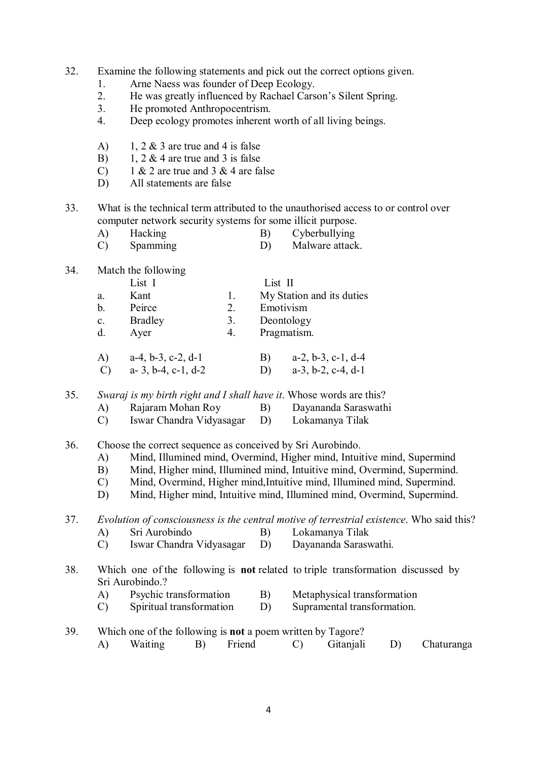32. Examine the following statements and pick out the correct options given.

- 1. Arne Naess was founder of Deep Ecology.<br>2 He was greatly influenced by Rachael Cars
- 2. He was greatly influenced by Rachael Carson's Silent Spring.
- 3. He promoted Anthropocentrism.
- 4. Deep ecology promotes inherent worth of all living beings.
- A) 1, 2  $\&$  3 are true and 4 is false
- B) 1, 2  $\&$  4 are true and 3 is false
- C) 1 & 2 are true and 3 & 4 are false
- D) All statements are false
- 33. What is the technical term attributed to the unauthorised access to or control over computer network security systems for some illicit purpose.
	- A) Hacking B) Cyberbullying
	- C) Spamming D) Malware attack.

34. Match the following

|                | List I               |    | List II |                           |
|----------------|----------------------|----|---------|---------------------------|
| a.             | Kant                 |    |         | My Station and its duties |
| b.             | Peirce               | 2. |         | Emotivism                 |
| $\mathbf{c}$ . | <b>Bradley</b>       | 3. |         | Deontology                |
| $d_{\cdot}$    | Ayer                 | 4. |         | Pragmatism.               |
| A)             | $a-4, b-3, c-2, d-1$ |    | B)      | $a-2, b-3, c-1, d-4$      |

C) a- 3, b-4, c-1, d-2 D) a-3, b-2, c-4, d-1

35. *Swaraj is my birth right and I shall have it*. Whose words are this?

- A) Rajaram Mohan Roy B) Dayananda Saraswathi
- C) Iswar Chandra Vidyasagar D) Lokamanya Tilak
- 36. Choose the correct sequence as conceived by Sri Aurobindo.
	- A) Mind, Illumined mind, Overmind, Higher mind, Intuitive mind, Supermind
	- B) Mind, Higher mind, Illumined mind, Intuitive mind, Overmind, Supermind.
	- C) Mind, Overmind, Higher mind,Intuitive mind, Illumined mind, Supermind.
	- D) Mind, Higher mind, Intuitive mind, Illumined mind, Overmind, Supermind.

37. *Evolution of consciousness is the central motive of terrestrial existence*. Who said this? A) Sri Aurobindo B) Lokamanya Tilak

- C) Iswar Chandra Vidyasagar D) Dayananda Saraswathi.
- 38. Which one of the following is **not** related to triple transformation discussed by Sri Aurobindo.?
	- A) Psychic transformation B) Metaphysical transformation
	- C) Spiritual transformation D) Supramental transformation.
- 39. Which one of the following is **not** a poem written by Tagore? A) Waiting B) Friend C) Gitanjali D) Chaturanga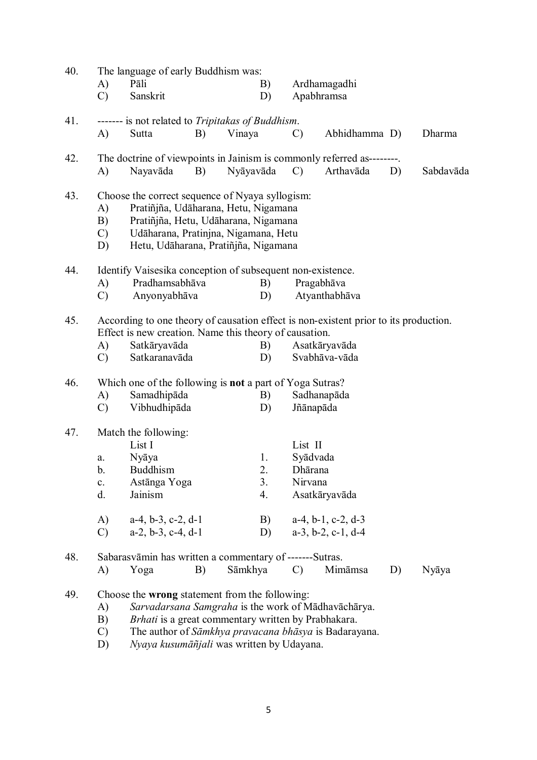| 40. | The language of early Buddhism was:                                   |                                                                                                                                                                                                                 |    |           |    |               |                                                       |    |           |  |  |  |
|-----|-----------------------------------------------------------------------|-----------------------------------------------------------------------------------------------------------------------------------------------------------------------------------------------------------------|----|-----------|----|---------------|-------------------------------------------------------|----|-----------|--|--|--|
|     | A)                                                                    | Pāli                                                                                                                                                                                                            |    |           | B) | Ardhamagadhi  |                                                       |    |           |  |  |  |
|     | $\mathcal{C}$                                                         | Sanskrit                                                                                                                                                                                                        |    |           | D) |               | Apabhramsa                                            |    |           |  |  |  |
| 41. |                                                                       | ------- is not related to Tripitakas of Buddhism.                                                                                                                                                               |    |           |    |               |                                                       |    |           |  |  |  |
|     | A)                                                                    | Sutta                                                                                                                                                                                                           | B) | Vinaya    |    | $\mathcal{C}$ | Abhidhamma D)                                         |    | Dharma    |  |  |  |
| 42. | The doctrine of viewpoints in Jainism is commonly referred as-------- |                                                                                                                                                                                                                 |    |           |    |               |                                                       |    |           |  |  |  |
|     | A)                                                                    | Nayavāda                                                                                                                                                                                                        | B) | Nyāyavāda |    | $\mathbf{C}$  | Arthavāda                                             | D) | Sabdavāda |  |  |  |
| 43. | A)<br>B)<br>$\mathcal{C}$<br>D)                                       | Choose the correct sequence of Nyaya syllogism:<br>Pratiñjña, Udāharana, Hetu, Nigamana<br>Pratiñjña, Hetu, Udāharana, Nigamana<br>Udāharana, Pratinjna, Nigamana, Hetu<br>Hetu, Udāharana, Pratinjña, Nigamana |    |           |    |               |                                                       |    |           |  |  |  |
| 44. | Identify Vaisesika conception of subsequent non-existence.            |                                                                                                                                                                                                                 |    |           |    |               |                                                       |    |           |  |  |  |
|     | A)                                                                    | Pradhamsabhāva                                                                                                                                                                                                  |    |           | B) |               | Pragabhāva                                            |    |           |  |  |  |
|     | $\mathcal{C}$                                                         | Anyonyabhāva                                                                                                                                                                                                    |    |           | D) |               | Atyanthabhāva                                         |    |           |  |  |  |
| 45. |                                                                       | According to one theory of causation effect is non-existent prior to its production.<br>Effect is new creation. Name this theory of causation.                                                                  |    |           |    |               |                                                       |    |           |  |  |  |
|     | A)                                                                    | Satkāryavāda                                                                                                                                                                                                    |    |           | B) |               | Asatkāryavāda                                         |    |           |  |  |  |
|     | $\mathcal{C}$                                                         | Satkaranavāda                                                                                                                                                                                                   |    |           | D) |               | Svabhāva-vāda                                         |    |           |  |  |  |
| 46. | Which one of the following is <b>not</b> a part of Yoga Sutras?       |                                                                                                                                                                                                                 |    |           |    |               |                                                       |    |           |  |  |  |
|     | A)                                                                    | Samadhipāda                                                                                                                                                                                                     |    |           | B) | Sadhanapāda   |                                                       |    |           |  |  |  |
|     | $\mathcal{C}$                                                         | Vibhudhipāda                                                                                                                                                                                                    |    |           | D) | Jñānapāda     |                                                       |    |           |  |  |  |
| 47. | Match the following:                                                  |                                                                                                                                                                                                                 |    |           |    |               |                                                       |    |           |  |  |  |
|     |                                                                       | List I                                                                                                                                                                                                          |    |           |    | List II       |                                                       |    |           |  |  |  |
|     | a.                                                                    | Nyāya                                                                                                                                                                                                           |    |           | 1. | Syādvada      |                                                       |    |           |  |  |  |
|     | b.                                                                    | Buddhism                                                                                                                                                                                                        |    |           | 2. | Dhārana       |                                                       |    |           |  |  |  |
|     | $\mathbf{c}$ .                                                        | Astānga Yoga                                                                                                                                                                                                    |    |           | 3. | Nirvana       |                                                       |    |           |  |  |  |
|     | d.                                                                    | Jainism                                                                                                                                                                                                         |    |           | 4. |               | Asatkāryavāda                                         |    |           |  |  |  |
|     | A)                                                                    | $a-4, b-3, c-2, d-1$                                                                                                                                                                                            |    |           | B) |               | $a-4$ , $b-1$ , $c-2$ , $d-3$                         |    |           |  |  |  |
|     | $\mathcal{C}$                                                         | $a-2$ , $b-3$ , $c-4$ , $d-1$                                                                                                                                                                                   |    |           | D) |               | $a-3$ , $b-2$ , $c-1$ , $d-4$                         |    |           |  |  |  |
| 48. |                                                                       | Sabarasvāmin has written a commentary of -------Sutras.                                                                                                                                                         |    |           |    |               |                                                       |    |           |  |  |  |
|     | A)                                                                    | Yoga                                                                                                                                                                                                            | B) | Sāmkhya   |    | $\mathcal{C}$ | Mimāmsa                                               | D) | Nyāya     |  |  |  |
| 49. |                                                                       | Choose the <b>wrong</b> statement from the following:                                                                                                                                                           |    |           |    |               |                                                       |    |           |  |  |  |
|     | A)                                                                    | Sarvadarsana Samgraha is the work of Mādhavāchārya.                                                                                                                                                             |    |           |    |               |                                                       |    |           |  |  |  |
|     | B)                                                                    | Brhati is a great commentary written by Prabhakara.                                                                                                                                                             |    |           |    |               |                                                       |    |           |  |  |  |
|     | $\mathcal{C}$                                                         |                                                                                                                                                                                                                 |    |           |    |               | The author of Sāmkhya pravacana bhāsya is Badarayana. |    |           |  |  |  |

D) *Nyaya kusumāñjali* was written by Udayana.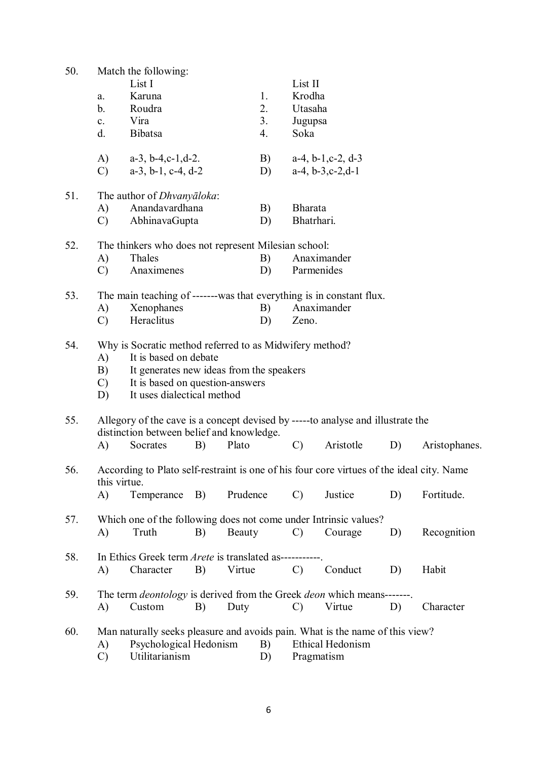| 50. | Match the following:                                                            |                                                                                           |            |          |            |                |                               |    |               |  |  |
|-----|---------------------------------------------------------------------------------|-------------------------------------------------------------------------------------------|------------|----------|------------|----------------|-------------------------------|----|---------------|--|--|
|     |                                                                                 | List I                                                                                    |            |          |            | List II        |                               |    |               |  |  |
|     | a.                                                                              | Karuna                                                                                    |            |          | 1.         | Krodha         |                               |    |               |  |  |
|     | $\mathbf b$ .                                                                   | Roudra                                                                                    |            |          | 2.         | Utasaha        |                               |    |               |  |  |
|     | $\mathbf{c}$ .                                                                  | Vira                                                                                      |            |          | 3.         | Jugupsa        |                               |    |               |  |  |
|     | d.                                                                              | <b>Bibatsa</b>                                                                            |            |          | 4.         | Soka           |                               |    |               |  |  |
|     |                                                                                 |                                                                                           |            |          |            |                |                               |    |               |  |  |
|     | A)                                                                              | $a-3$ , $b-4$ , $c-1$ , $d-2$ .                                                           |            |          | B)         |                | $a-4$ , $b-1$ , $c-2$ , $d-3$ |    |               |  |  |
|     | $\mathcal{C}$                                                                   | $a-3$ , $b-1$ , $c-4$ , $d-2$                                                             |            |          | D)         |                | $a-4$ , $b-3$ , $c-2$ , $d-1$ |    |               |  |  |
| 51. |                                                                                 | The author of <i>Dhvanyaloka</i> :                                                        |            |          |            |                |                               |    |               |  |  |
|     | A)                                                                              | Anandavardhana                                                                            |            |          | B)         | <b>Bharata</b> |                               |    |               |  |  |
|     | $\mathcal{C}$                                                                   | AbhinavaGupta                                                                             |            | D)       | Bhatrhari. |                |                               |    |               |  |  |
|     |                                                                                 |                                                                                           |            |          |            |                |                               |    |               |  |  |
| 52. | A)                                                                              | The thinkers who does not represent Milesian school:<br>Thales                            |            |          | B)         |                | Anaximander                   |    |               |  |  |
|     | $\mathcal{C}$                                                                   | Anaximenes                                                                                |            | D)       | Parmenides |                |                               |    |               |  |  |
|     |                                                                                 |                                                                                           |            |          |            |                |                               |    |               |  |  |
| 53. |                                                                                 | The main teaching of -------was that everything is in constant flux.                      |            |          |            |                |                               |    |               |  |  |
|     | A)                                                                              | Xenophanes                                                                                |            |          | B)         |                | Anaximander                   |    |               |  |  |
|     | $\mathcal{C}$                                                                   | Heraclitus                                                                                |            |          | D)         | Zeno.          |                               |    |               |  |  |
| 54. |                                                                                 | Why is Socratic method referred to as Midwifery method?                                   |            |          |            |                |                               |    |               |  |  |
|     | A)                                                                              | It is based on debate                                                                     |            |          |            |                |                               |    |               |  |  |
|     | B)                                                                              | It generates new ideas from the speakers                                                  |            |          |            |                |                               |    |               |  |  |
|     | C)                                                                              | It is based on question-answers                                                           |            |          |            |                |                               |    |               |  |  |
|     | D)                                                                              | It uses dialectical method                                                                |            |          |            |                |                               |    |               |  |  |
| 55. | Allegory of the cave is a concept devised by -----to analyse and illustrate the |                                                                                           |            |          |            |                |                               |    |               |  |  |
|     | distinction between belief and knowledge.                                       |                                                                                           |            |          |            |                |                               |    |               |  |  |
|     | A)                                                                              | Socrates                                                                                  | B)         | Plato    |            | $\mathcal{C}$  | Aristotle                     | D) | Aristophanes. |  |  |
|     |                                                                                 |                                                                                           |            |          |            |                |                               |    |               |  |  |
| 56. | this virtue.                                                                    | According to Plato self-restraint is one of his four core virtues of the ideal city. Name |            |          |            |                |                               |    |               |  |  |
|     | A)                                                                              | Temperance                                                                                | <b>B</b> ) | Prudence |            | $\mathcal{C}$  | Justice                       | D) | Fortitude.    |  |  |
|     |                                                                                 |                                                                                           |            |          |            |                |                               |    |               |  |  |
| 57. |                                                                                 | Which one of the following does not come under Intrinsic values?                          |            |          |            |                |                               |    |               |  |  |
|     | A)                                                                              | Truth                                                                                     | B)         | Beauty   |            | $\mathcal{C}$  | Courage                       | D) | Recognition   |  |  |
| 58. |                                                                                 | In Ethics Greek term <i>Arete</i> is translated as-----------                             |            |          |            |                |                               |    |               |  |  |
|     | A)                                                                              | Character                                                                                 | B)         | Virtue   |            | $\mathcal{C}$  | Conduct                       | D) | Habit         |  |  |
|     |                                                                                 |                                                                                           |            |          |            |                |                               |    |               |  |  |
| 59. |                                                                                 | The term <i>deontology</i> is derived from the Greek <i>deon</i> which means-------       |            |          |            |                |                               |    |               |  |  |
|     | A)                                                                              | Custom                                                                                    | B)         | Duty     |            | $\mathcal{C}$  | Virtue                        | D) | Character     |  |  |
|     |                                                                                 |                                                                                           |            |          |            |                |                               |    |               |  |  |
| 60. |                                                                                 | Man naturally seeks pleasure and avoids pain. What is the name of this view?              |            |          |            |                |                               |    |               |  |  |
|     | A)                                                                              | Psychological Hedonism                                                                    |            |          | B)         |                | Ethical Hedonism              |    |               |  |  |
|     | $\mathcal{C}$                                                                   | Utilitarianism                                                                            |            |          | D)         | Pragmatism     |                               |    |               |  |  |
|     |                                                                                 |                                                                                           |            |          |            |                |                               |    |               |  |  |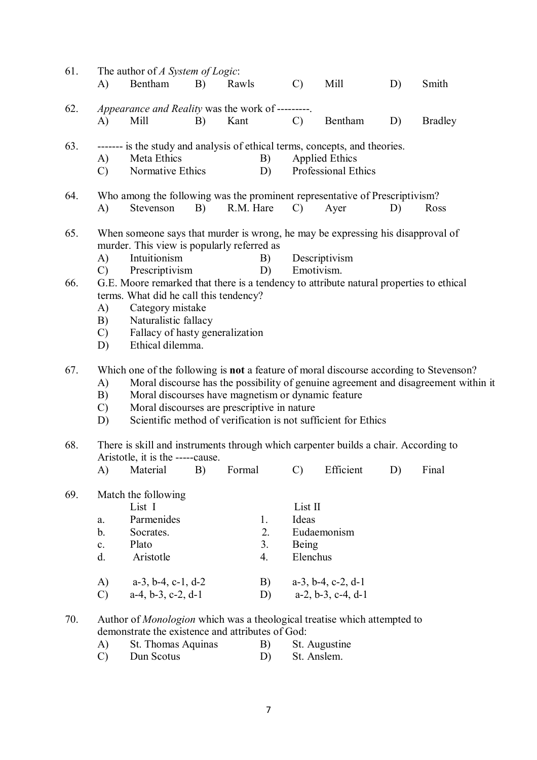| 61. | A)                                                                                                                                | The author of A System of Logic:<br>Bentham                                         | B) | Rawls     |          | $\mathcal{C}$     | Mill                          | D) | Smith          |  |  |  |
|-----|-----------------------------------------------------------------------------------------------------------------------------------|-------------------------------------------------------------------------------------|----|-----------|----------|-------------------|-------------------------------|----|----------------|--|--|--|
| 62. | A)                                                                                                                                | Appearance and Reality was the work of ---------.<br>Mill                           | B) | Kant      |          | $\mathcal{C}$     | Bentham                       | D) | <b>Bradley</b> |  |  |  |
|     |                                                                                                                                   |                                                                                     |    |           |          |                   |                               |    |                |  |  |  |
| 63. |                                                                                                                                   | ------- is the study and analysis of ethical terms, concepts, and theories.         |    |           |          |                   |                               |    |                |  |  |  |
|     | A)                                                                                                                                | Meta Ethics                                                                         |    |           | B)       |                   | <b>Applied Ethics</b>         |    |                |  |  |  |
|     | $\mathcal{C}$                                                                                                                     | Normative Ethics                                                                    |    |           | D)       |                   | <b>Professional Ethics</b>    |    |                |  |  |  |
| 64. |                                                                                                                                   | Who among the following was the prominent representative of Prescriptivism?         |    |           |          |                   |                               |    |                |  |  |  |
|     | A)                                                                                                                                | Stevenson                                                                           | B) | R.M. Hare |          | $\mathcal{C}$     | Ayer                          | D) | Ross           |  |  |  |
| 65. | When someone says that murder is wrong, he may be expressing his disapproval of<br>murder. This view is popularly referred as     |                                                                                     |    |           |          |                   |                               |    |                |  |  |  |
|     | A)                                                                                                                                | Intuitionism                                                                        |    |           | B)       |                   | Descriptivism                 |    |                |  |  |  |
|     | $\mathcal{C}$                                                                                                                     | Emotivism.<br>Prescriptivism<br>D)                                                  |    |           |          |                   |                               |    |                |  |  |  |
| 66. | G.E. Moore remarked that there is a tendency to attribute natural properties to ethical<br>terms. What did he call this tendency? |                                                                                     |    |           |          |                   |                               |    |                |  |  |  |
|     |                                                                                                                                   | Category mistake<br>A)                                                              |    |           |          |                   |                               |    |                |  |  |  |
|     | B)                                                                                                                                | Naturalistic fallacy                                                                |    |           |          |                   |                               |    |                |  |  |  |
|     | $\mathcal{C}$                                                                                                                     | Fallacy of hasty generalization                                                     |    |           |          |                   |                               |    |                |  |  |  |
|     | D)                                                                                                                                | Ethical dilemma.                                                                    |    |           |          |                   |                               |    |                |  |  |  |
| 67. | Which one of the following is <b>not</b> a feature of moral discourse according to Stevenson?                                     |                                                                                     |    |           |          |                   |                               |    |                |  |  |  |
|     | A)                                                                                                                                | Moral discourse has the possibility of genuine agreement and disagreement within it |    |           |          |                   |                               |    |                |  |  |  |
|     | B)                                                                                                                                | Moral discourses have magnetism or dynamic feature                                  |    |           |          |                   |                               |    |                |  |  |  |
|     | Moral discourses are prescriptive in nature<br>$\mathcal{C}$<br>Scientific method of verification is not sufficient for Ethics    |                                                                                     |    |           |          |                   |                               |    |                |  |  |  |
|     | D)                                                                                                                                |                                                                                     |    |           |          |                   |                               |    |                |  |  |  |
| 68. | There is skill and instruments through which carpenter builds a chair. According to<br>Aristotle, it is the -----cause.           |                                                                                     |    |           |          |                   |                               |    |                |  |  |  |
|     | A)                                                                                                                                | Material                                                                            | B) |           |          |                   | Formal C) Efficient D)        |    | Final          |  |  |  |
| 69. | Match the following                                                                                                               |                                                                                     |    |           |          |                   |                               |    |                |  |  |  |
|     |                                                                                                                                   | List I                                                                              |    |           |          | List II           |                               |    |                |  |  |  |
|     | a.                                                                                                                                | Parmenides                                                                          |    |           | 1.       | Ideas             |                               |    |                |  |  |  |
|     | $\mathbf b$ .                                                                                                                     | Socrates.                                                                           |    |           | 2.       |                   | Eudaemonism                   |    |                |  |  |  |
|     | $\mathbf{c}$ .<br>d.                                                                                                              | Plato<br>Aristotle                                                                  |    |           | 3.<br>4. | Being<br>Elenchus |                               |    |                |  |  |  |
|     |                                                                                                                                   |                                                                                     |    |           |          |                   |                               |    |                |  |  |  |
|     | A)                                                                                                                                | $a-3$ , $b-4$ , $c-1$ , $d-2$                                                       |    |           | B)       |                   | $a-3$ , $b-4$ , $c-2$ , $d-1$ |    |                |  |  |  |
|     | $\mathcal{C}$                                                                                                                     | $a-4$ , $b-3$ , $c-2$ , $d-1$                                                       |    |           | D)       |                   | $a-2$ , $b-3$ , $c-4$ , $d-1$ |    |                |  |  |  |
| 70. |                                                                                                                                   | Author of Monologion which was a theological treatise which attempted to            |    |           |          |                   |                               |    |                |  |  |  |
|     |                                                                                                                                   | demonstrate the existence and attributes of God:                                    |    |           |          |                   |                               |    |                |  |  |  |
|     | A)                                                                                                                                | St. Thomas Aquinas                                                                  |    |           | B)       | St. Augustine     |                               |    |                |  |  |  |
|     | C)                                                                                                                                | Dun Scotus                                                                          |    |           | D)       | St. Anslem.       |                               |    |                |  |  |  |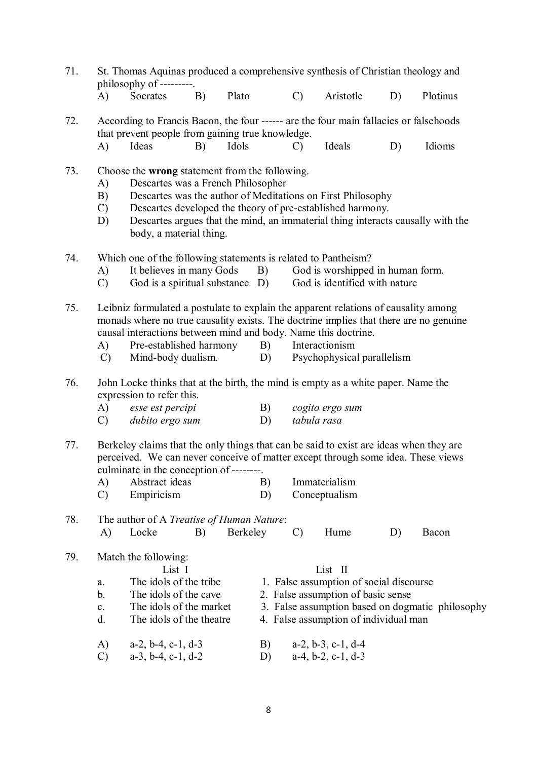| 71. | St. Thomas Aquinas produced a comprehensive synthesis of Christian theology and<br>philosophy of ---------.                                                                                                            |                                                                                                                                                                                                                                                                                                                                                             |    |          |                                                                                                                                                                                       |                                                                      |                                                                                                                                                                                                              |    |          |  |  |  |
|-----|------------------------------------------------------------------------------------------------------------------------------------------------------------------------------------------------------------------------|-------------------------------------------------------------------------------------------------------------------------------------------------------------------------------------------------------------------------------------------------------------------------------------------------------------------------------------------------------------|----|----------|---------------------------------------------------------------------------------------------------------------------------------------------------------------------------------------|----------------------------------------------------------------------|--------------------------------------------------------------------------------------------------------------------------------------------------------------------------------------------------------------|----|----------|--|--|--|
|     | A)                                                                                                                                                                                                                     | Socrates                                                                                                                                                                                                                                                                                                                                                    | B) | Plato    |                                                                                                                                                                                       | $\mathcal{C}$                                                        | Aristotle                                                                                                                                                                                                    | D) | Plotinus |  |  |  |
| 72. |                                                                                                                                                                                                                        | According to Francis Bacon, the four ------ are the four main fallacies or falsehoods<br>that prevent people from gaining true knowledge.                                                                                                                                                                                                                   |    |          |                                                                                                                                                                                       |                                                                      |                                                                                                                                                                                                              |    |          |  |  |  |
|     | A)                                                                                                                                                                                                                     | Ideas                                                                                                                                                                                                                                                                                                                                                       | B) | Idols    |                                                                                                                                                                                       | $\mathcal{C}$                                                        | Ideals                                                                                                                                                                                                       | D) | Idioms   |  |  |  |
| 73. | A)<br>B)<br>$\mathcal{C}$<br>D)                                                                                                                                                                                        | Choose the wrong statement from the following.<br>Descartes was a French Philosopher<br>body, a material thing.                                                                                                                                                                                                                                             |    |          |                                                                                                                                                                                       |                                                                      | Descartes was the author of Meditations on First Philosophy<br>Descartes developed the theory of pre-established harmony.<br>Descartes argues that the mind, an immaterial thing interacts causally with the |    |          |  |  |  |
| 74. | A)<br>$\mathcal{C}$                                                                                                                                                                                                    | Which one of the following statements is related to Pantheism?<br>It believes in many Gods<br>God is worshipped in human form.<br>B)<br>God is a spiritual substance D)<br>God is identified with nature                                                                                                                                                    |    |          |                                                                                                                                                                                       |                                                                      |                                                                                                                                                                                                              |    |          |  |  |  |
| 75. | A)<br>$\mathcal{C}$                                                                                                                                                                                                    | Leibniz formulated a postulate to explain the apparent relations of causality among<br>monads where no true causality exists. The doctrine implies that there are no genuine<br>causal interactions between mind and body. Name this doctrine.<br>Pre-established harmony<br>B)<br>Interactionism<br>Mind-body dualism.<br>Psychophysical parallelism<br>D) |    |          |                                                                                                                                                                                       |                                                                      |                                                                                                                                                                                                              |    |          |  |  |  |
| 76. | John Locke thinks that at the birth, the mind is empty as a white paper. Name the<br>expression to refer this.                                                                                                         |                                                                                                                                                                                                                                                                                                                                                             |    |          |                                                                                                                                                                                       |                                                                      |                                                                                                                                                                                                              |    |          |  |  |  |
|     | A)<br>C)                                                                                                                                                                                                               | esse est percipi<br>dubito ergo sum                                                                                                                                                                                                                                                                                                                         |    |          | B)<br>D)                                                                                                                                                                              | cogito ergo sum<br>tabula rasa                                       |                                                                                                                                                                                                              |    |          |  |  |  |
| 77. | Berkeley claims that the only things that can be said to exist are ideas when they are<br>perceived. We can never conceive of matter except through some idea. These views<br>culminate in the conception of --------. |                                                                                                                                                                                                                                                                                                                                                             |    |          |                                                                                                                                                                                       |                                                                      |                                                                                                                                                                                                              |    |          |  |  |  |
|     | A)<br>$\mathcal{C}$                                                                                                                                                                                                    | Abstract ideas<br>Empiricism                                                                                                                                                                                                                                                                                                                                |    |          | B)<br>D)                                                                                                                                                                              |                                                                      | Immaterialism<br>Conceptualism                                                                                                                                                                               |    |          |  |  |  |
| 78. | A)                                                                                                                                                                                                                     | The author of A Treatise of Human Nature:<br>Locke                                                                                                                                                                                                                                                                                                          | B) | Berkeley |                                                                                                                                                                                       | $\mathcal{C}$                                                        | Hume                                                                                                                                                                                                         | D) | Bacon    |  |  |  |
| 79. | ${\bf a}.$<br>b.<br>$\mathbf{c}$ .<br>d.                                                                                                                                                                               | Match the following:<br>List I<br>The idols of the tribe<br>The idols of the cave<br>The idols of the market<br>The idols of the theatre                                                                                                                                                                                                                    |    |          | List II<br>1. False assumption of social discourse<br>2. False assumption of basic sense<br>3. False assumption based on dogmatic philosophy<br>4. False assumption of individual man |                                                                      |                                                                                                                                                                                                              |    |          |  |  |  |
|     | $a-2$ , $b-4$ , $c-1$ , $d-3$<br>A)<br>$\mathcal{C}$<br>$a-3$ , $b-4$ , $c-1$ , $d-2$                                                                                                                                  |                                                                                                                                                                                                                                                                                                                                                             |    |          |                                                                                                                                                                                       | $a-2$ , $b-3$ , $c-1$ , $d-4$<br>$a-4$ , $b-2$ , $c-1$ , $d-3$<br>D) |                                                                                                                                                                                                              |    |          |  |  |  |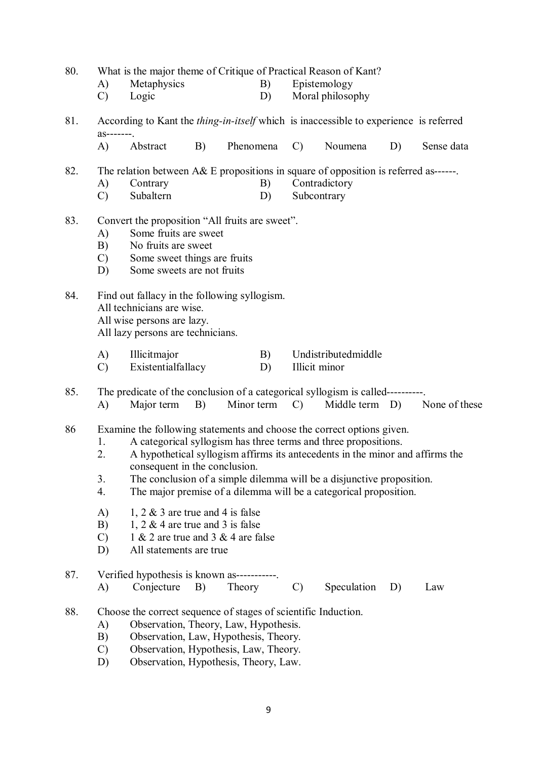- 80. What is the major theme of Critique of Practical Reason of Kant?
	- A) Metaphysics B) Epistemology<br>
	C) Logic D) Moral philoson
	- Logic D) Moral philosophy
- 81. According to Kant the *thing-in-itself* which is inaccessible to experience is referred as-------.
	- A) Abstract B) Phenomena C) Noumena D) Sense data
- 82. The relation between A& E propositions in square of opposition is referred as------.
	- A) Contrary B) Contradictory
	- C) Subaltern D) Subcontrary
- 83. Convert the proposition "All fruits are sweet".
	- A) Some fruits are sweet
	- B) No fruits are sweet<br>C) Some sweet things
	- Some sweet things are fruits
	- D) Some sweets are not fruits
- 84. Find out fallacy in the following syllogism.
	- All technicians are wise.
	- All wise persons are lazy.

All lazy persons are technicians.

- A) Illicitmajor B) Undistributedmiddle
- C) Existentialfallacy D) Illicit minor

85. The predicate of the conclusion of a categorical syllogism is called----------.

A) Major term B) Minor term C) Middle term D) None of these

86 Examine the following statements and choose the correct options given.

- 1. A categorical syllogism has three terms and three propositions.
- 2. A hypothetical syllogism affirms its antecedents in the minor and affirms the consequent in the conclusion.
- 3. The conclusion of a simple dilemma will be a disjunctive proposition.
- 4. The major premise of a dilemma will be a categorical proposition.
- A) 1, 2  $\&$  3 are true and 4 is false
- B) 1,  $2 \& 4$  are true and 3 is false
- C) 1 & 2 are true and 3 & 4 are false
- D) All statements are true
- 87. Verified hypothesis is known as-----------.
	- A) Conjecture B) Theory C) Speculation D) Law
- 88. Choose the correct sequence of stages of scientific Induction.
	- A) Observation, Theory, Law, Hypothesis.
	- B) Observation, Law, Hypothesis, Theory.
	- C) Observation, Hypothesis, Law, Theory.
	- D) Observation, Hypothesis, Theory, Law.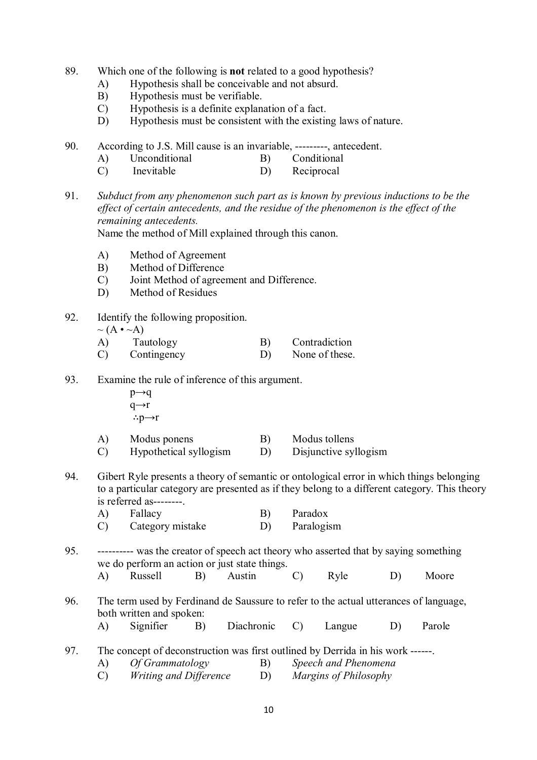- 89. Which one of the following is **not** related to a good hypothesis?
	- A) Hypothesis shall be conceivable and not absurd.
	- B) Hypothesis must be verifiable.
	- C) Hypothesis is a definite explanation of a fact.
	- D) Hypothesis must be consistent with the existing laws of nature.
- 90. According to J.S. Mill cause is an invariable, ---------, antecedent.
	- A) Unconditional B) Conditional
	- C) Inevitable D) Reciprocal
- 91. *Subduct from any phenomenon such part as is known by previous inductions to be the effect of certain antecedents, and the residue of the phenomenon is the effect of the remaining antecedents.*

Name the method of Mill explained through this canon.

- A) Method of Agreement
- B) Method of Difference
- C) Joint Method of agreement and Difference.
- D) Method of Residues
- 92. Identify the following proposition.

 $\sim (A \cdot \sim A)$ 

- A) Tautology B) Contradiction C) Contingency D) None of these.
- 93. Examine the rule of inference of this argument.
	- $p \rightarrow q$  q→r ∴p $\rightarrow$ r
	- A) Modus ponens B) Modus tollens
	- C) Hypothetical syllogism D) Disjunctive syllogism
- 94. Gibert Ryle presents a theory of semantic or ontological error in which things belonging to a particular category are presented as if they belong to a different category. This theory is referred as--------.

| A)          | Fallacy          | B) | Paradox    |
|-------------|------------------|----|------------|
| $\mathbf C$ | Category mistake | D) | Paralogism |

- 95. ---------- was the creator of speech act theory who asserted that by saying something we do perform an action or just state things.
	- A) Russell B) Austin C) Ryle D) Moore
- 96. The term used by Ferdinand de Saussure to refer to the actual utterances of language, both written and spoken:
	- A) Signifier B) Diachronic C) Langue D) Parole
- 97. The concept of deconstruction was first outlined by Derrida in his work ------.
	- A) *Of Grammatology* B) *Speech and Phenomena*
	- C) *Writing and Difference* D) *Margins of Philosophy*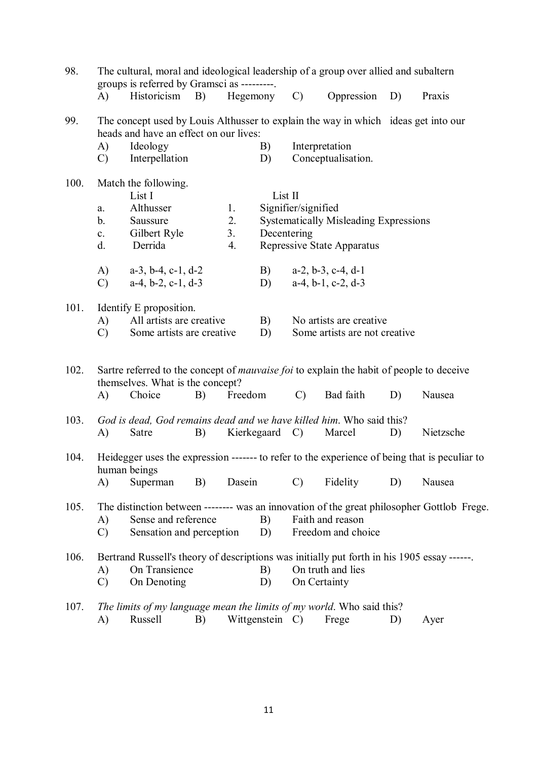| 98.<br>The cultural, moral and ideological leadership of a group over allied and subaltern<br>groups is referred by Gramsci as ---------. |                                                                                                                                                                                                          |                                                                                                                                                            |    |          |                                                                                                                             |                                                                                                                                                  |                                                       |        |                                                                                                         |  |  |
|-------------------------------------------------------------------------------------------------------------------------------------------|----------------------------------------------------------------------------------------------------------------------------------------------------------------------------------------------------------|------------------------------------------------------------------------------------------------------------------------------------------------------------|----|----------|-----------------------------------------------------------------------------------------------------------------------------|--------------------------------------------------------------------------------------------------------------------------------------------------|-------------------------------------------------------|--------|---------------------------------------------------------------------------------------------------------|--|--|
|                                                                                                                                           | A)                                                                                                                                                                                                       | Historicism B)                                                                                                                                             |    | Hegemony |                                                                                                                             | $\mathcal{C}$                                                                                                                                    | Oppression                                            | D)     | Praxis                                                                                                  |  |  |
| 99.                                                                                                                                       | A)<br>$\mathcal{C}$                                                                                                                                                                                      | The concept used by Louis Althusser to explain the way in which ideas get into our<br>heads and have an effect on our lives:<br>Ideology<br>Interpellation |    |          | B)<br>D)                                                                                                                    | Interpretation<br>Conceptualisation.                                                                                                             |                                                       |        |                                                                                                         |  |  |
| 100.                                                                                                                                      | Match the following.<br>List I<br>Althusser<br>1.<br>a.<br>2.<br>Saussure<br>b.<br>3.<br>Gilbert Ryle<br>$\mathbf{c}$ .<br>Derrida<br>d.<br>4.                                                           |                                                                                                                                                            |    |          | List II<br>Signifier/signified<br><b>Systematically Misleading Expressions</b><br>Decentering<br>Repressive State Apparatus |                                                                                                                                                  |                                                       |        |                                                                                                         |  |  |
|                                                                                                                                           | A)<br>$\mathcal{C}$                                                                                                                                                                                      | $a-3$ , $b-4$ , $c-1$ , $d-2$<br>$a-4, b-2, c-1, d-3$                                                                                                      |    |          | B)<br>D)                                                                                                                    |                                                                                                                                                  | $a-2$ , $b-3$ , $c-4$ , $d-1$<br>$a-4, b-1, c-2, d-3$ |        |                                                                                                         |  |  |
| 101.                                                                                                                                      | A)<br>$\mathcal{C}$                                                                                                                                                                                      | Identify E proposition.<br>All artists are creative<br>Some artists are creative                                                                           |    |          |                                                                                                                             | No artists are creative.<br>Some artists are not creative                                                                                        |                                                       |        |                                                                                                         |  |  |
| 102.                                                                                                                                      | Sartre referred to the concept of <i>mauvaise foi</i> to explain the habit of people to deceive<br>themselves. What is the concept?<br>Freedom<br>$\mathcal{C}$<br>Bad faith<br>A)<br>Choice<br>B)<br>D) |                                                                                                                                                            |    |          |                                                                                                                             |                                                                                                                                                  |                                                       | Nausea |                                                                                                         |  |  |
| 103.                                                                                                                                      | A)                                                                                                                                                                                                       | God is dead, God remains dead and we have killed him. Who said this?<br>Satre                                                                              | B) |          | Kierkegaard C)                                                                                                              |                                                                                                                                                  | Marcel                                                | D)     | Nietzsche                                                                                               |  |  |
| 104.                                                                                                                                      | A)                                                                                                                                                                                                       | human beings<br>Superman                                                                                                                                   | B) | Dasein   |                                                                                                                             | $\mathcal{C}$                                                                                                                                    | Fidelity                                              | D)     | Heidegger uses the expression ------- to refer to the experience of being that is peculiar to<br>Nausea |  |  |
| 105.                                                                                                                                      | Sense and reference<br>A)<br>$\mathcal{C}$<br>Sensation and perception                                                                                                                                   |                                                                                                                                                            |    |          |                                                                                                                             | The distinction between -------- was an innovation of the great philosopher Gottlob Frege.<br>Faith and reason<br>B)<br>Freedom and choice<br>D) |                                                       |        |                                                                                                         |  |  |
| 106.                                                                                                                                      | A)<br>$\mathcal{C}$                                                                                                                                                                                      | Bertrand Russell's theory of descriptions was initially put forth in his 1905 essay ------.<br>On Transience<br>On Denoting                                |    |          | B)<br>D)                                                                                                                    |                                                                                                                                                  | On truth and lies<br>On Certainty                     |        |                                                                                                         |  |  |
| 107.                                                                                                                                      | A)                                                                                                                                                                                                       | The limits of my language mean the limits of my world. Who said this?<br>Russell                                                                           | B) |          | Wittgenstein C)                                                                                                             |                                                                                                                                                  | Frege                                                 | D)     | Ayer                                                                                                    |  |  |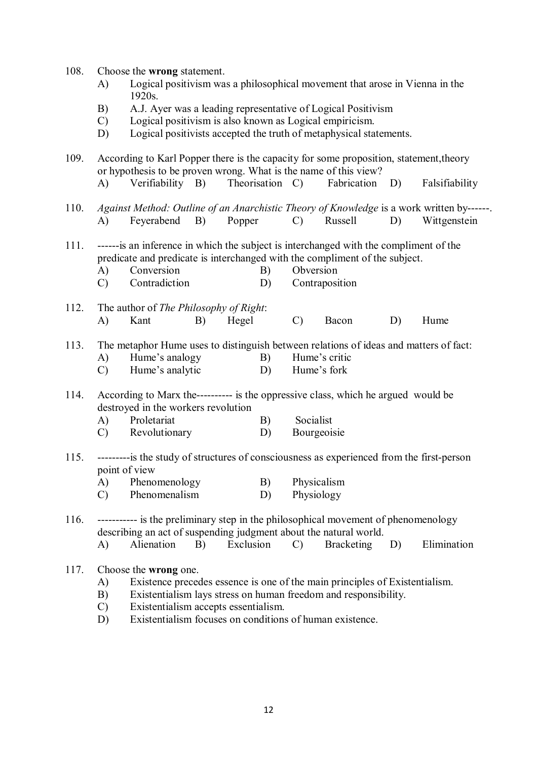- 108. Choose the **wrong** statement.
	- A) Logical positivism was a philosophical movement that arose in Vienna in the 1920s.
	- B) A.J. Ayer was a leading representative of Logical Positivism
	- C) Logical positivism is also known as Logical empiricism.
	- D) Logical positivists accepted the truth of metaphysical statements.

109. According to Karl Popper there is the capacity for some proposition, statement,theory or hypothesis to be proven wrong. What is the name of this view? A) Verifiability B) Theorisation C) Fabrication D) Falsifiability

- 110. *Against Method: Outline of an Anarchistic Theory of Knowledge* is a work written by------. A) Feyerabend B) Popper C) Russell D) Wittgenstein
- 111. ------is an inference in which the subject is interchanged with the compliment of the predicate and predicate is interchanged with the compliment of the subject.
	- A) Conversion B) Obversion
	- C) Contradiction D) Contraposition
- 112. The author of *The Philosophy of Right*: A) Kant B) Hegel C) Bacon D) Hume
- 113. The metaphor Hume uses to distinguish between relations of ideas and matters of fact:
	- A) Hume's analogy B) Hume's critic
	- C) Hume's analytic D) Hume's fork
- 114. According to Marx the---------- is the oppressive class, which he argued would be destroyed in the workers revolution
	- A) Proletariat B) Socialist
	- C) Revolutionary D) Bourgeoisie
- 115. ---------is the study of structures of consciousness as experienced from the first-person point of view
	- A) Phenomenology B) Physicalism
	- C) Phenomenalism D) Physiology
- 116. ----------- is the preliminary step in the philosophical movement of phenomenology describing an act of suspending judgment about the natural world.
	- A) Alienation B) Exclusion C) Bracketing D) Elimination
- 117. Choose the **wrong** one.
	- A) Existence precedes essence is one of the main principles of Existentialism.
	- B) Existentialism lays stress on human freedom and responsibility.
	- C) Existentialism accepts essentialism.
	- D) Existentialism focuses on conditions of human existence.